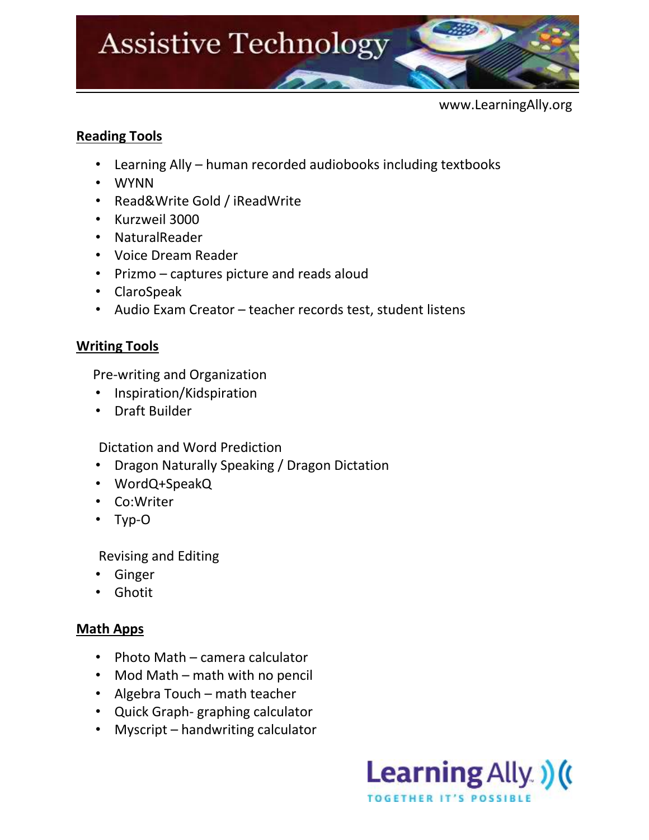

www.LearningAlly.org

# **Reading Tools**

- Learning Ally human recorded audiobooks including textbooks
- [WYNN](http://www.freedomscientific.com/lsg/products/wynn.asp)
- [Read&Write](http://www.texthelp.com/north-america/our-products/readwrite) [Gold](http://www.texthelp.com/north-america/our-products/readwrite) / iReadWrite
- [Kurzweil 3000](http://www.kurzweiledu.com/products.html)
- [NaturalReader](http://www.naturalreaders.com/)
- [Voice Dream Reader](https://itunes.apple.com/us/app/voice-dream-reader/id496177674?mt=8)
- [Prizmo](https://itunes.apple.com/us/app/prizmo-scanning-ocr-speech/id366791896?mt=8) captures picture and reads aloud
- [ClaroSpeak](https://itunes.apple.com/us/app/clarospeak-usa/id520496243?mt=8)
- Audio Exam Creator teacher records test, student listens

## **Writing Tools**

Pre-writing and Organization

- [Inspiration](http://www.inspiration.com/Inspiration)[/Kidspiration](http://www.inspiration.com/Kidspiration)
- [Draft Builder](http://donjohnston.com/draftbuilder/)

Dictation and Word Prediction

- Dragon Naturally Speaking / Dragon Dictation
- WordQ+SpeakQ
- [Co:Writer](http://donjohnston.com/cowriter/)
- Typ-O

Revising and Editing

- Ginger
- Ghotit

### **Math Apps**

- Photo Math camera calculator
- Mod Math math with no pencil
- Algebra Touch math teacher
- Quick Graph- graphing calculator
- Myscript handwriting calculator